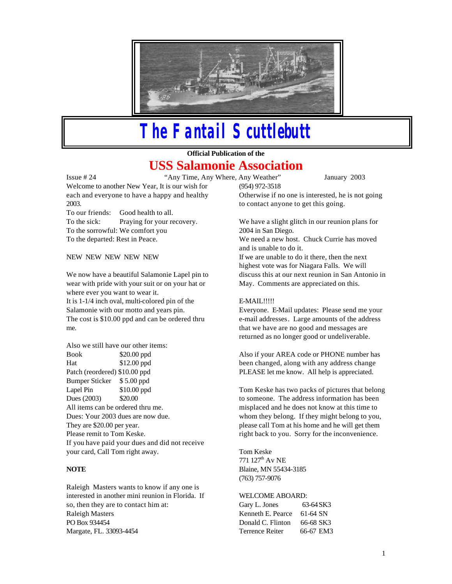

# *The Fantail Scuttlebutt*

**Official Publication of the** 

# **USS Salamonie Association**

Issue # 24 "Any Time, Any Where, Any Weather" January 2003 Welcome to another New Year, It is our wish for each and everyone to have a happy and healthy 2003.

To our friends: Good health to all. To the sick: Praying for your recovery. To the sorrowful: We comfort you To the departed: Rest in Peace.

NEW NEW NEW NEW NEW

We now have a beautiful Salamonie Lapel pin to wear with pride with your suit or on your hat or where ever you want to wear it. It is 1-1/4 inch oval, multi-colored pin of the Salamonie with our motto and years pin. The cost is \$10.00 ppd and can be ordered thru me.

Also we still have our other items: Book \$20.00 ppd Hat \$12.00 ppd Patch (reordered) \$10.00 ppd Bumper Sticker \$ 5.00 ppd Lapel Pin \$10.00 ppd Dues (2003) \$20.00 All items can be ordered thru me. Dues: Your 2003 dues are now due. They are \$20.00 per year. Please remit to Tom Keske. If you have paid your dues and did not receive your card, Call Tom right away.

## **NOTE**

Raleigh Masters wants to know if any one is interested in another mini reunion in Florida. If so, then they are to contact him at: Raleigh Masters PO Box 934454 Margate, FL. 33093-4454

(954) 972-3518 Otherwise if no one is interested, he is not going to contact anyone to get this going.

We have a slight glitch in our reunion plans for 2004 in San Diego.

We need a new host. Chuck Currie has moved and is unable to do it.

If we are unable to do it there, then the next highest vote was for Niagara Falls. We will discuss this at our next reunion in San Antonio in May. Comments are appreciated on this.

### E-MAIL!!!!!

Everyone. E-Mail updates: Please send me your e-mail addresses. Large amounts of the address that we have are no good and messages are returned as no longer good or undeliverable.

Also if your AREA code or PHONE number has been changed, along with any address change PLEASE let me know. All help is appreciated.

Tom Keske has two packs of pictures that belong to someone. The address information has been misplaced and he does not know at this time to whom they belong. If they might belong to you, please call Tom at his home and he will get them right back to you. Sorry for the inconvenience.

Tom Keske 771 127<sup>th</sup> Av NE Blaine, MN 55434-3185 (763) 757-9076

#### WELCOME ABOARD:

Gary L. Jones 63-64 SK3 Kenneth E. Pearce 61-64 SN Donald C. Flinton 66-68 SK3 Terrence Reiter 66-67 EM3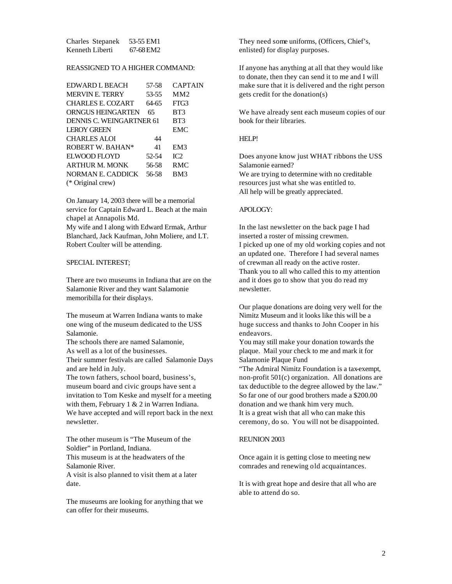| Charles Stepanek | 53-55 EM1 |
|------------------|-----------|
| Kenneth Liberti  | 67-68 EM2 |

#### REASSIGNED TO A HIGHER COMMAND:

| EDWARD L BEACH           | 57-58 | <b>CAPTAIN</b> |
|--------------------------|-------|----------------|
| <b>MERVIN E. TERRY</b>   | 53-55 | MM2            |
| CHARLES E. COZART        | 64-65 | FTG3           |
| <b>ORNGUS HEINGARTEN</b> | 65    | BT3            |
| DENNIS C. WEINGARTNER 61 |       | BT3            |
| <b>LEROY GREEN</b>       |       | <b>EMC</b>     |
| <b>CHARLES ALOI</b>      | 44    |                |
| <b>ROBERT W. BAHAN*</b>  | 41    | EM3            |
| ELWOOD FLOYD             | 52-54 | IC2            |
| <b>ARTHUR M. MONK</b>    | 56-58 | RMC            |
| NORMAN E. CADDICK        | 56-58 | BM3            |
| (* Original crew)        |       |                |

On January 14, 2003 there will be a memorial service for Captain Edward L. Beach at the main chapel at Annapolis Md. My wife and I along with Edward Ermak, Arthur

Blanchard, Jack Kaufman, John Moliere, and LT. Robert Coulter will be attending.

#### SPECIAL INTEREST;

There are two museums in Indiana that are on the Salamonie River and they want Salamonie memoribilla for their displays.

The museum at Warren Indiana wants to make one wing of the museum dedicated to the USS Salamonie.

The schools there are named Salamonie, As well as a lot of the businesses.

Their summer festivals are called Salamonie Days and are held in July.

The town fathers, school board, business's, museum board and civic groups have sent a invitation to Tom Keske and myself for a meeting with them, February 1 & 2 in Warren Indiana. We have accepted and will report back in the next newsletter.

The other museum is "The Museum of the Soldier" in Portland, Indiana. This museum is at the headwaters of the Salamonie River. A visit is also planned to visit them at a later date.

The museums are looking for anything that we can offer for their museums.

They need some uniforms, (Officers, Chief's, enlisted) for display purposes.

If anyone has anything at all that they would like to donate, then they can send it to me and I will make sure that it is delivered and the right person gets credit for the donation(s)

We have already sent each museum copies of our book for their libraries.

#### HELP!

Does anyone know just WHAT ribbons the USS Salamonie earned?

We are trying to determine with no creditable resources just what she was entitled to. All help will be greatly appreciated.

#### APOLOGY:

In the last newsletter on the back page I had inserted a roster of missing crewmen. I picked up one of my old working copies and not an updated one. Therefore I had several names of crewman all ready on the active roster. Thank you to all who called this to my attention and it does go to show that you do read my newsletter.

Our plaque donations are doing very well for the Nimitz Museum and it looks like this will be a huge success and thanks to John Cooper in his endeavors.

You may still make your donation towards the plaque. Mail your check to me and mark it for Salamonie Plaque Fund

"The Admiral Nimitz Foundation is a tax-exempt, non-profit 501(c) organization. All donations are tax deductible to the degree allowed by the law." So far one of our good brothers made a \$200.00 donation and we thank him very much. It is a great wish that all who can make this ceremony, do so. You will not be disappointed.

#### REUNION 2003

Once again it is getting close to meeting new comrades and renewing old acquaintances.

It is with great hope and desire that all who are able to attend do so.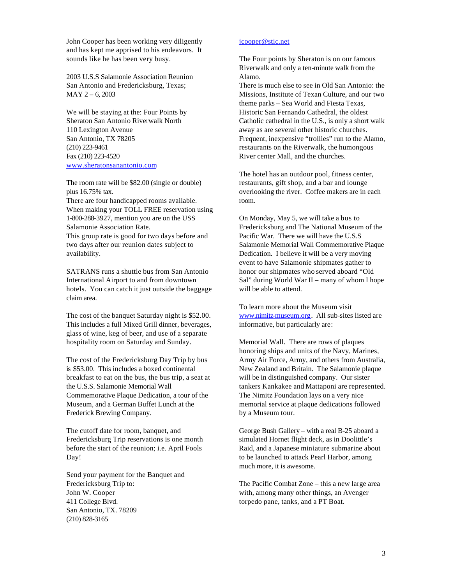John Cooper has been working very diligently and has kept me apprised to his endeavors. It sounds like he has been very busy.

2003 U.S.S Salamonie Association Reunion San Antonio and Fredericksburg, Texas; MAY 2 – 6, 2003

We will be staying at the: Four Points by Sheraton San Antonio Riverwalk North 110 Lexington Avenue San Antonio, TX 78205 (210) 223-9461 Fax (210) 223-4520 www.sheratonsanantonio.com

The room rate will be \$82.00 (single or double) plus 16.75% tax.

There are four handicapped rooms available. When making your TOLL FREE reservation using 1-800-288-3927, mention you are on the USS Salamonie Association Rate.

This group rate is good for two days before and two days after our reunion dates subject to availability.

SATRANS runs a shuttle bus from San Antonio International Airport to and from downtown hotels. You can catch it just outside the baggage claim area.

The cost of the banquet Saturday night is \$52.00. This includes a full Mixed Grill dinner, beverages, glass of wine, keg of beer, and use of a separate hospitality room on Saturday and Sunday.

The cost of the Fredericksburg Day Trip by bus is \$53.00. This includes a boxed continental breakfast to eat on the bus, the bus trip, a seat at the U.S.S. Salamonie Memorial Wall Commemorative Plaque Dedication, a tour of the Museum, and a German Buffet Lunch at the Frederick Brewing Company.

The cutoff date for room, banquet, and Fredericksburg Trip reservations is one month before the start of the reunion; i.e. April Fools Day!

Send your payment for the Banquet and Fredericksburg Trip to: John W. Cooper 411 College Blvd. San Antonio, TX. 78209 (210) 828-3165

#### jcooper@stic.net

The Four points by Sheraton is on our famous Riverwalk and only a ten-minute walk from the Alamo.

There is much else to see in Old San Antonio: the Missions, Institute of Texan Culture, and our two theme parks – Sea World and Fiesta Texas, Historic San Fernando Cathedral, the oldest Catholic cathedral in the U.S., is only a short walk away as are several other historic churches. Frequent, inexpensive "trollies" run to the Alamo, restaurants on the Riverwalk, the humongous River center Mall, and the churches.

The hotel has an outdoor pool, fitness center, restaurants, gift shop, and a bar and lounge overlooking the river. Coffee makers are in each room.

On Monday, May 5, we will take a bus to Fredericksburg and The National Museum of the Pacific War. There we will have the U.S.S Salamonie Memorial Wall Commemorative Plaque Dedication. I believe it will be a very moving event to have Salamonie shipmates gather to honor our shipmates who served aboard "Old Sal" during World War II – many of whom I hope will be able to attend.

To learn more about the Museum visit www.nimitz-museum.org. All sub-sites listed are informative, but particularly are:

Memorial Wall. There are rows of plaques honoring ships and units of the Navy, Marines, Army Air Force, Army, and others from Australia, New Zealand and Britain. The Salamonie plaque will be in distinguished company. Our sister tankers Kankakee and Mattaponi are represented. The Nimitz Foundation lays on a very nice memorial service at plaque dedications followed by a Museum tour.

George Bush Gallery – with a real B-25 aboard a simulated Hornet flight deck, as in Doolittle's Raid, and a Japanese miniature submarine about to be launched to attack Pearl Harbor, among much more, it is awesome.

The Pacific Combat Zone – this a new large area with, among many other things, an Avenger torpedo pane, tanks, and a PT Boat.